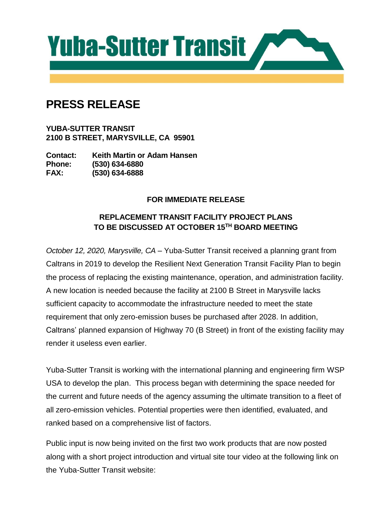

# **PRESS RELEASE**

**YUBA-SUTTER TRANSIT 2100 B STREET, MARYSVILLE, CA 95901**

**Contact: Keith Martin or Adam Hansen Phone: (530) 634-6880 FAX: (530) 634-6888**

### **FOR IMMEDIATE RELEASE**

## **REPLACEMENT TRANSIT FACILITY PROJECT PLANS TO BE DISCUSSED AT OCTOBER 15TH BOARD MEETING**

*October 12, 2020, Marysville, CA* – Yuba-Sutter Transit received a planning grant from Caltrans in 2019 to develop the Resilient Next Generation Transit Facility Plan to begin the process of replacing the existing maintenance, operation, and administration facility. A new location is needed because the facility at 2100 B Street in Marysville lacks sufficient capacity to accommodate the infrastructure needed to meet the state requirement that only zero-emission buses be purchased after 2028. In addition, Caltrans' planned expansion of Highway 70 (B Street) in front of the existing facility may render it useless even earlier.

Yuba-Sutter Transit is working with the international planning and engineering firm WSP USA to develop the plan. This process began with determining the space needed for the current and future needs of the agency assuming the ultimate transition to a fleet of all zero-emission vehicles. Potential properties were then identified, evaluated, and ranked based on a comprehensive list of factors.

Public input is now being invited on the first two work products that are now posted along with a short project introduction and virtual site tour video at the following link on the Yuba-Sutter Transit website: